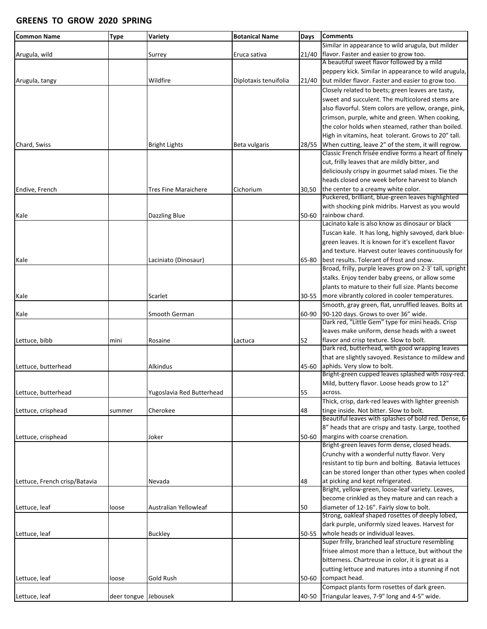## **GREENS TO GROW 2020 SPRING**

| <b>Common Name</b>            | <b>Type</b>          | Variety                   | <b>Botanical Name</b> | <b>Days</b> | <b>Comments</b>                                         |
|-------------------------------|----------------------|---------------------------|-----------------------|-------------|---------------------------------------------------------|
|                               |                      |                           |                       |             | Similar in appearance to wild arugula, but milder       |
| Arugula, wild                 |                      | Surrey                    | Eruca sativa          | 21/40       | flavor. Faster and easier to grow too.                  |
|                               |                      |                           |                       |             | A beautiful sweet flavor followed by a mild             |
|                               |                      |                           |                       |             | peppery kick. Similar in appearance to wild arugula,    |
| Arugula, tangy                |                      | Wildfire                  | Diplotaxis tenuifolia | 21/40       | but milder flavor. Faster and easier to grow too.       |
|                               |                      |                           |                       |             | Closely related to beets; green leaves are tasty,       |
|                               |                      |                           |                       |             | sweet and succulent. The multicolored stems are         |
|                               |                      |                           |                       |             | also flavorful. Stem colors are yellow, orange, pink,   |
|                               |                      |                           |                       |             | crimson, purple, white and green. When cooking,         |
|                               |                      |                           |                       |             | the color holds when steamed, rather than boiled.       |
|                               |                      |                           |                       |             | High in vitamins, heat tolerant. Grows to 20" tall.     |
| Chard, Swiss                  |                      | <b>Bright Lights</b>      | Beta vulgaris         | 28/55       | When cutting, leave 2" of the stem, it will regrow.     |
|                               |                      |                           |                       |             | Classic French frisée endive forms a heart of finely    |
|                               |                      |                           |                       |             | cut, frilly leaves that are mildly bitter, and          |
|                               |                      |                           |                       |             | deliciously crispy in gourmet salad mixes. Tie the      |
|                               |                      |                           |                       |             | heads closed one week before harvest to blanch          |
| Endive, French                |                      | Tres Fine Maraichere      | Cichorium             | 30,50       | the center to a creamy white color.                     |
|                               |                      |                           |                       |             | Puckered, brilliant, blue-green leaves highlighted      |
|                               |                      |                           |                       |             | with shocking pink midribs. Harvest as you would        |
| Kale                          |                      | Dazzling Blue             |                       | 50-60       | rainbow chard.                                          |
|                               |                      |                           |                       |             | Lacinato kale is also know as dinosaur or black         |
|                               |                      |                           |                       |             | Tuscan kale. It has long, highly savoyed, dark blue-    |
|                               |                      |                           |                       |             | green leaves. It is known for it's excellent flavor     |
|                               |                      |                           |                       |             | and texture. Harvest outer leaves continuously for      |
| Kale                          |                      | Laciniato (Dinosaur)      |                       | 65-80       | best results. Tolerant of frost and snow.               |
|                               |                      |                           |                       |             | Broad, frilly, purple leaves grow on 2-3' tall, upright |
|                               |                      |                           |                       |             | stalks. Enjoy tender baby greens, or allow some         |
|                               |                      |                           |                       |             | plants to mature to their full size. Plants become      |
| Kale                          |                      | Scarlet                   |                       | $30 - 55$   | more vibrantly colored in cooler temperatures.          |
|                               |                      |                           |                       |             | Smooth, gray green, flat, unruffled leaves. Bolts at    |
| Kale                          |                      | Smooth German             |                       | 60-90       | 90-120 days. Grows to over 36" wide.                    |
|                               |                      |                           |                       |             | Dark red, "Little Gem" type for mini heads. Crisp       |
|                               |                      |                           |                       |             | leaves make uniform, dense heads with a sweet           |
| Lettuce, bibb                 | mini                 | Rosaine                   | Lactuca               | 52          | flavor and crisp texture. Slow to bolt.                 |
|                               |                      |                           |                       |             | Dark red, butterhead, with good wrapping leaves         |
|                               |                      |                           |                       |             | that are slightly savoyed. Resistance to mildew and     |
| Lettuce, butterhead           |                      | Alkindus                  |                       | 45-60       | aphids. Very slow to bolt.                              |
|                               |                      |                           |                       |             | Bright-green cupped leaves splashed with rosy-red.      |
|                               |                      |                           |                       |             | Mild, buttery flavor. Loose heads grow to 12"           |
| Lettuce, butterhead           |                      | Yugoslavia Red Butterhead |                       | 55          | across.                                                 |
|                               |                      |                           |                       |             | Thick, crisp, dark-red leaves with lighter greenish     |
| Lettuce, crisphead            | summer               | Cherokee                  |                       | 48          | tinge inside. Not bitter. Slow to bolt.                 |
|                               |                      |                           |                       |             | Beautiful leaves with splashes of bold red. Dense, 6-   |
|                               |                      |                           |                       |             | 8" heads that are crispy and tasty. Large, toothed      |
| Lettuce, crisphead            |                      | Joker                     |                       | 50-60       | margins with coarse crenation.                          |
|                               |                      |                           |                       |             | Bright-green leaves form dense, closed heads.           |
|                               |                      |                           |                       |             | Crunchy with a wonderful nutty flavor. Very             |
|                               |                      |                           |                       |             | resistant to tip burn and bolting. Batavia lettuces     |
|                               |                      |                           |                       |             | can be stored longer than other types when cooled       |
| Lettuce, French crisp/Batavia |                      | Nevada                    |                       | 48          | at picking and kept refrigerated.                       |
|                               |                      |                           |                       |             | Bright, yellow-green, loose-leaf variety. Leaves,       |
|                               |                      |                           |                       |             | become crinkled as they mature and can reach a          |
| Lettuce, leaf                 | loose                | Australian Yellowleaf     |                       | 50          | diameter of 12-16". Fairly slow to bolt.                |
|                               |                      |                           |                       |             | Strong, oakleaf shaped rosettes of deeply lobed,        |
|                               |                      |                           |                       |             | dark purple, uniformly sized leaves. Harvest for        |
| Lettuce, leaf                 |                      | <b>Buckley</b>            |                       | 50-55       | whole heads or individual leaves.                       |
|                               |                      |                           |                       |             | Super frilly, branched leaf structure resembling        |
|                               |                      |                           |                       |             | frisee almost more than a lettuce, but without the      |
|                               |                      |                           |                       |             | bitterness. Chartreuse in color, it is great as a       |
|                               |                      |                           |                       |             | cutting lettuce and matures into a stunning if not      |
| Lettuce, leaf                 | loose                | Gold Rush                 |                       | 50-60       | compact head.                                           |
|                               |                      |                           |                       |             | Compact plants form rosettes of dark green.             |
| Lettuce, leaf                 | deer tongue Jebousek |                           |                       | 40-50       | Triangular leaves, 7-9" long and 4-5" wide.             |